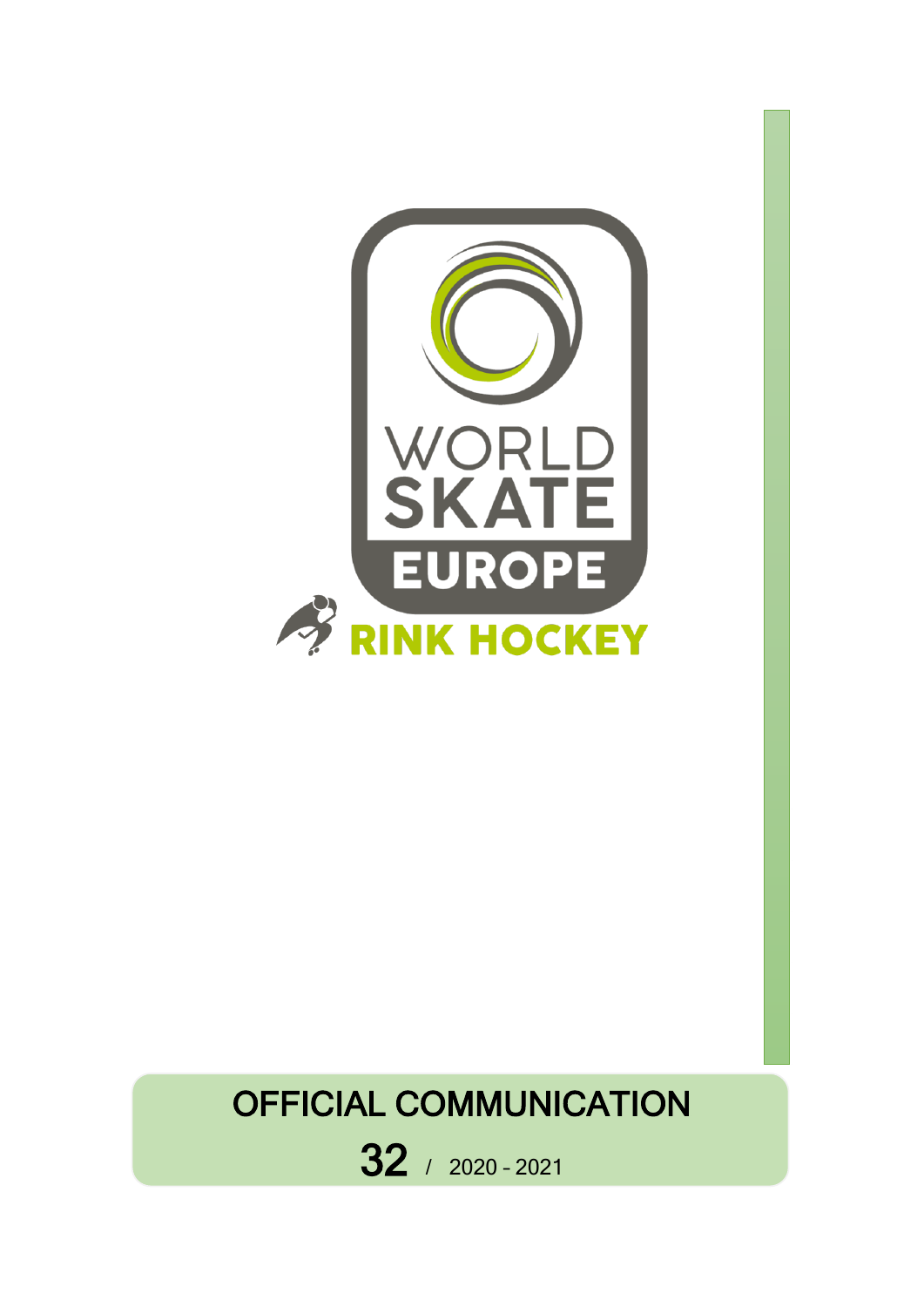

# OFFICIAL COMMUNICATION

32 / 2020 – <sup>2021</sup>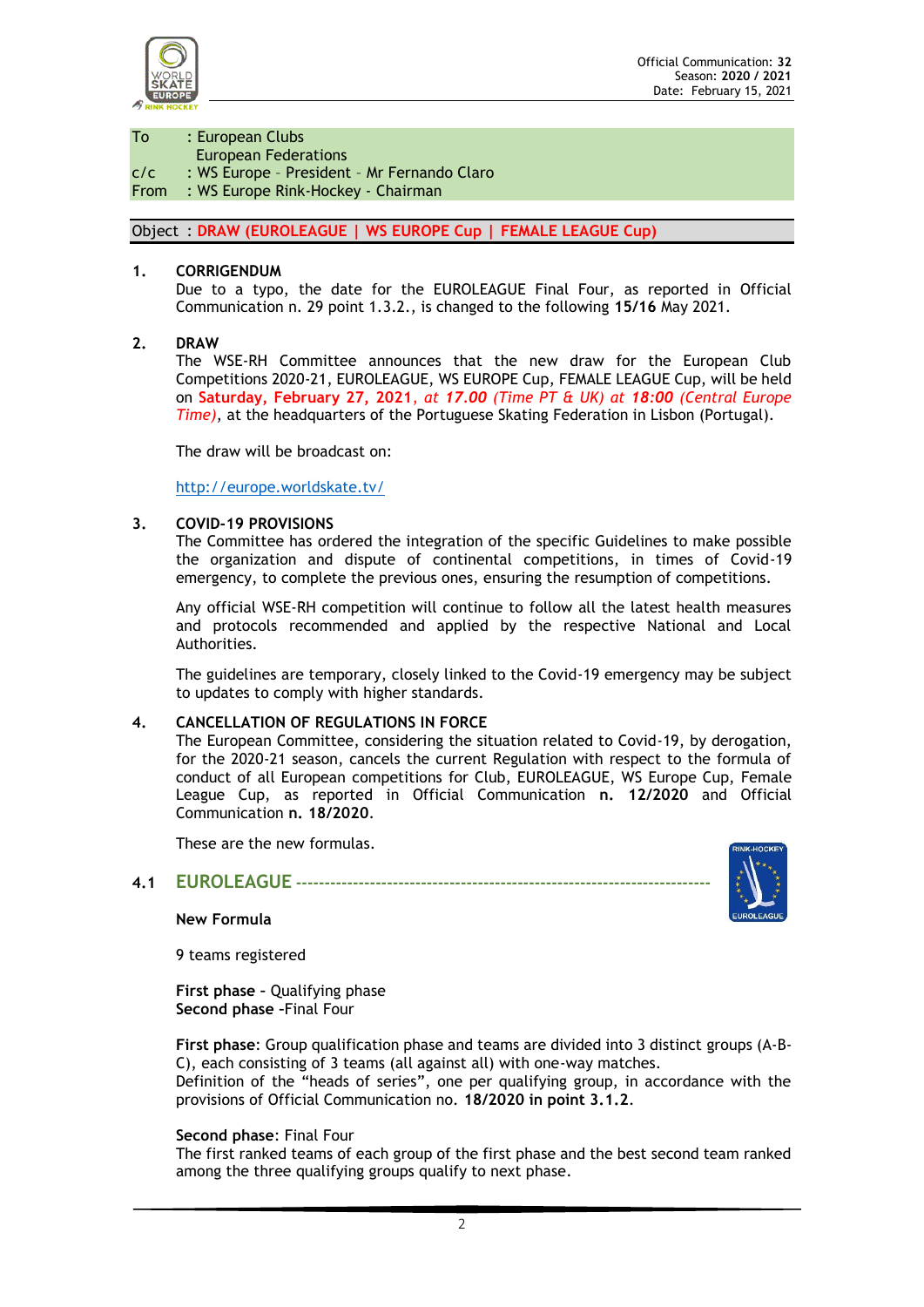

To : European Clubs

European Federations

c/c : WS Europe – President – Mr Fernando Claro

#### From : WS Europe Rink-Hockey - Chairman

#### Object : **DRAW (EUROLEAGUE | WS EUROPE Cup | FEMALE LEAGUE Cup)**

#### **1. CORRIGENDUM**

Due to a typo, the date for the EUROLEAGUE Final Four, as reported in Official Communication n. 29 point 1.3.2., is changed to the following **15/16** May 2021.

#### **2. DRAW**

The WSE-RH Committee announces that the new draw for the European Club Competitions 2020-21, EUROLEAGUE, WS EUROPE Cup, FEMALE LEAGUE Cup, will be held on **Saturday, February 27, 2021**, *at 17.00 (Time PT & UK) at 18:00 (Central Europe Time)*, at the headquarters of the Portuguese Skating Federation in Lisbon (Portugal).

The draw will be broadcast on:

<http://europe.worldskate.tv/>

#### **3. COVID-19 PROVISIONS**

The Committee has ordered the integration of the specific Guidelines to make possible the organization and dispute of continental competitions, in times of Covid-19 emergency, to complete the previous ones, ensuring the resumption of competitions.

Any official WSE-RH competition will continue to follow all the latest health measures and protocols recommended and applied by the respective National and Local Authorities.

The guidelines are temporary, closely linked to the Covid-19 emergency may be subject to updates to comply with higher standards.

#### **4. CANCELLATION OF REGULATIONS IN FORCE**

The European Committee, considering the situation related to Covid-19, by derogation, for the 2020-21 season, cancels the current Regulation with respect to the formula of conduct of all European competitions for Club, EUROLEAGUE, WS Europe Cup, Female League Cup, as reported in Official Communication **n. 12/2020** and Official Communication **n. 18/2020**.

These are the new formulas.

# **4.1 EUROLEAGUE -------------------------------------------------------------------------**

#### **New Formula**

9 teams registered

**First phase –** Qualifying phase **Second phase –**Final Four

**First phase**: Group qualification phase and teams are divided into 3 distinct groups (A-B-C), each consisting of 3 teams (all against all) with one-way matches. Definition of the "heads of series", one per qualifying group, in accordance with the provisions of Official Communication no. **18/2020 in point 3.1.2**.

#### **Second phase**: Final Four

The first ranked teams of each group of the first phase and the best second team ranked among the three qualifying groups qualify to next phase.

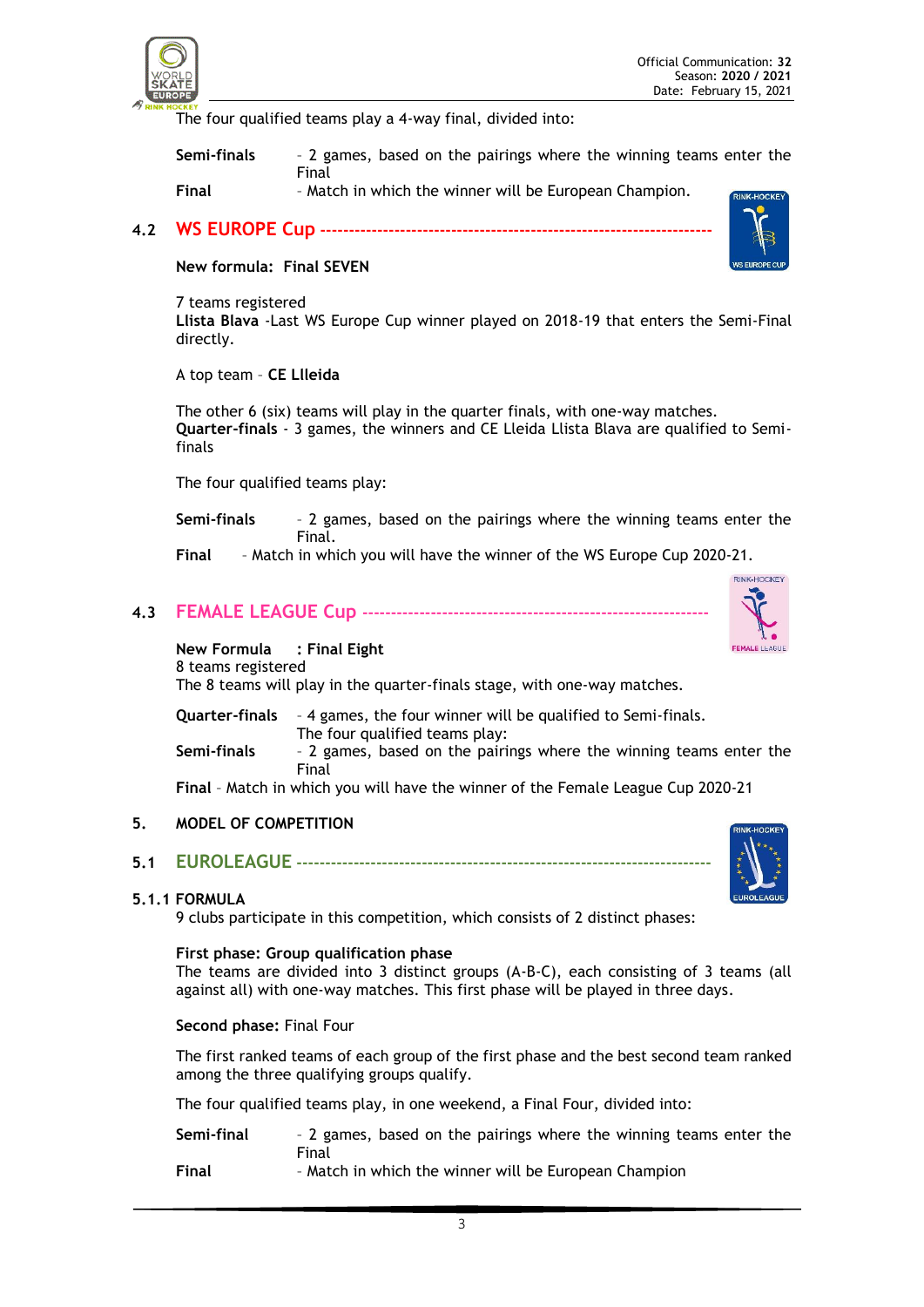

The four qualified teams play a 4-way final, divided into:

**Semi-finals** – 2 games, based on the pairings where the winning teams enter the Final

**Final** – Match in which the winner will be European Champion.

**4.2 WS EUROPE Cup ---------------------------------------------------------------------**

#### **New formula: Final SEVEN**

7 teams registered **Llista Blava** -Last WS Europe Cup winner played on 2018-19 that enters the Semi-Final directly.

A top team – **CE Llleida**

The other 6 (six) teams will play in the quarter finals, with one-way matches. **Quarter-finals** - 3 games, the winners and CE Lleida Llista Blava are qualified to Semifinals

The four qualified teams play:

**Semi-finals** – 2 games, based on the pairings where the winning teams enter the Final.

**Final** – Match in which you will have the winner of the WS Europe Cup 2020-21.

**4.3 FEMALE LEAGUE Cup -------------------------------------------------------------**



#### **New Formula : Final Eight**

8 teams registered The 8 teams will play in the quarter-finals stage, with one-way matches.

**Quarter-finals** – 4 games, the four winner will be qualified to Semi-finals. The four qualified teams play: **Semi-finals** – 2 games, based on the pairings where the winning teams enter the Final

**Final** – Match in which you will have the winner of the Female League Cup 2020-21

#### **5. MODEL OF COMPETITION**

**5.1 EUROLEAGUE -------------------------------------------------------------------------**

#### **5.1.1 FORMULA**

9 clubs participate in this competition, which consists of 2 distinct phases:

#### **First phase: Group qualification phase**

The teams are divided into 3 distinct groups (A-B-C), each consisting of 3 teams (all against all) with one-way matches. This first phase will be played in three days.

#### **Second phase:** Final Four

The first ranked teams of each group of the first phase and the best second team ranked among the three qualifying groups qualify.

The four qualified teams play, in one weekend, a Final Four, divided into:

| Semi-final | - 2 games, based on the pairings where the winning teams enter the |
|------------|--------------------------------------------------------------------|
|            | Final                                                              |
| Final      | - Match in which the winner will be European Champion              |

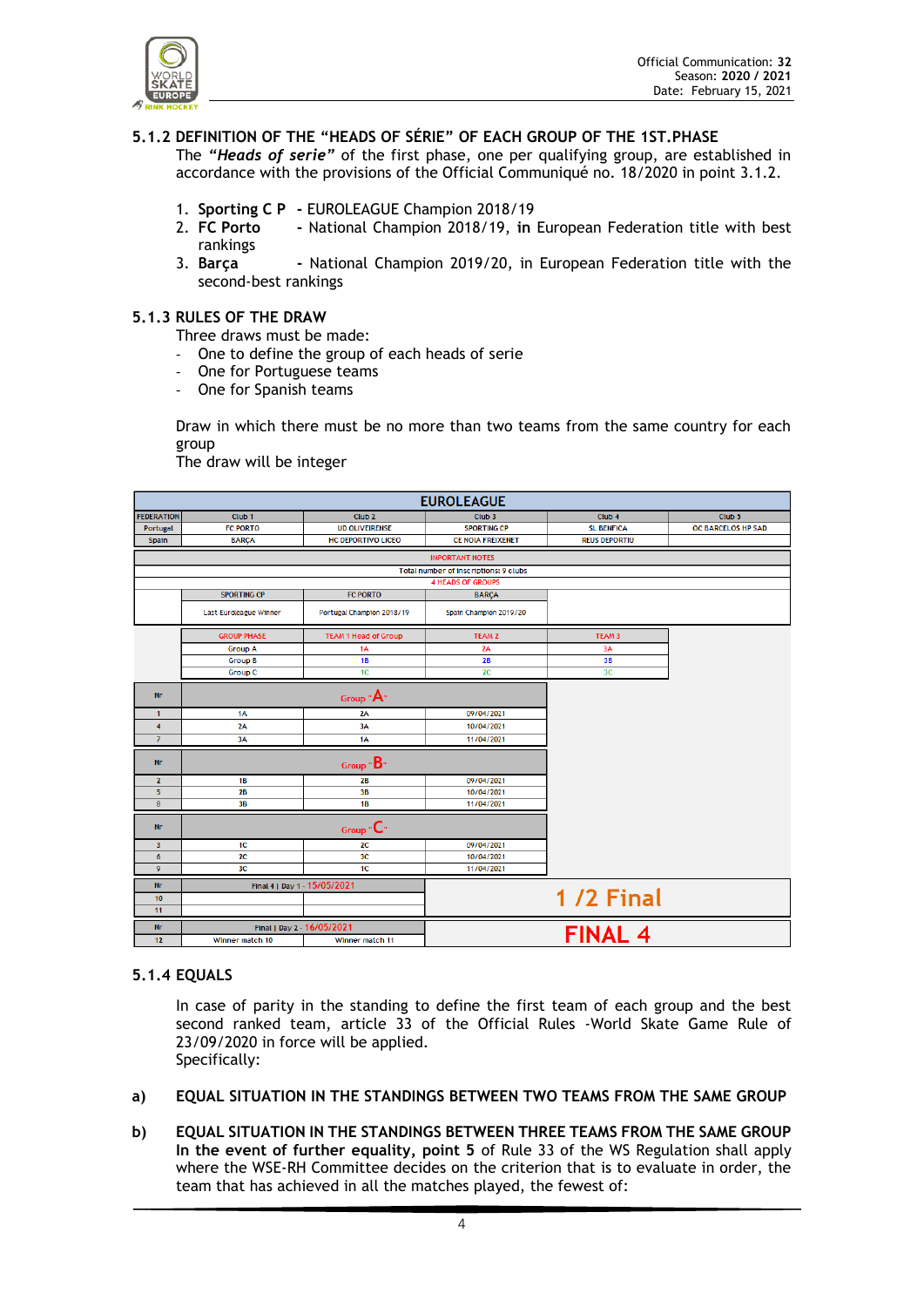

# **5.1.2 DEFINITION OF THE "HEADS OF SÉRIE" OF EACH GROUP OF THE 1ST.PHASE**

The *"Heads of serie"* of the first phase, one per qualifying group, are established in accordance with the provisions of the Official Communiqué no. 18/2020 in point 3.1.2.

- 1. **Sporting C P -** EUROLEAGUE Champion 2018/19
- 2. **FC Porto -** National Champion 2018/19, **in** European Federation title with best rankings
- 3. **Barça -** National Champion 2019/20, in European Federation title with the second-best rankings

#### **5.1.3 RULES OF THE DRAW**

Three draws must be made:

- One to define the group of each heads of serie
- One for Portuguese teams
- One for Spanish teams

Draw in which there must be no more than two teams from the same country for each group

The draw will be integer

| <b>EUROLEAGUE</b>       |                               |                             |                                       |                      |                    |
|-------------------------|-------------------------------|-----------------------------|---------------------------------------|----------------------|--------------------|
| <b>FEDERATION</b>       | Club <sub>1</sub>             | Club <sub>2</sub>           | Club <sub>3</sub>                     | Club <sub>4</sub>    | Club <sub>5</sub>  |
| Portugal                | <b>FC PORTO</b>               | <b>UD OLIVEIRENSE</b>       | <b>SPORTING CP</b>                    | <b>SL BENFICA</b>    | OC BARCELOS HP SAD |
| <b>Spain</b>            | <b>BARÇA</b>                  | <b>HC DEPORTIVO LICEO</b>   | <b>CE NOIA FREIXENET</b>              | <b>REUS DEPORTIU</b> |                    |
|                         |                               |                             | <b>IMPORTANT NOTES</b>                |                      |                    |
|                         |                               |                             | Total number of inscriptions: 9 clubs |                      |                    |
|                         |                               |                             | <b>4 HEADS OF GROUPS</b>              |                      |                    |
|                         | <b>SPORTING CP</b>            | <b>FC PORTO</b>             | <b>BARÇA</b>                          |                      |                    |
|                         | <b>Last Euroleague Winner</b> | Portugal Champion 2018/19   | Spain Champion 2019/20                |                      |                    |
|                         | <b>GROUP PHASE</b>            | <b>TEAM 1 Head of Group</b> | <b>TEAM 2</b>                         | TEAM <sub>3</sub>    |                    |
|                         | <b>Group A</b>                | 1A                          | 2A                                    | 3A                   |                    |
|                         | <b>Group B</b>                | <b>1B</b>                   | 2B                                    | 3B                   |                    |
|                         | <b>Group C</b>                | 1C                          | 2C                                    | 3 <sub>C</sub>       |                    |
| <b>Nr</b>               | Group $A$ "                   |                             |                                       |                      |                    |
| $\mathbf{1}$            | 1A                            | 2A                          | 09/04/2021                            |                      |                    |
| $\overline{4}$          | 2A                            | 3A                          | 10/04/2021                            |                      |                    |
| $\overline{7}$          | 3A                            | 1A                          | 11/04/2021                            |                      |                    |
| Nr                      | $Group \cdot B.$              |                             |                                       |                      |                    |
| $\mathbf{2}$            | 1B                            | 2B                          | 09/04/2021                            |                      |                    |
| 5 <sup>5</sup>          | 2B                            | 3B                          | 10/04/2021                            |                      |                    |
| 8                       | 3B                            | 1B                          | 11/04/2021                            |                      |                    |
| <b>Nr</b>               | Group $\mathbf{C}^*$          |                             |                                       |                      |                    |
| $\overline{\mathbf{3}}$ | 1C                            | 2C                          | 09/04/2021                            |                      |                    |
| $6\phantom{1}$          | 2 <sub>C</sub>                | 3 <sub>C</sub>              | 10/04/2021                            |                      |                    |
| 9                       | 3 <sub>C</sub>                | 1C                          | 11/04/2021                            |                      |                    |
| <b>Nr</b>               | Final 4   Day 1 - 15/05/2021  |                             |                                       |                      |                    |
| 10                      |                               |                             |                                       | <b>1/2 Final</b>     |                    |
| 11                      |                               |                             |                                       |                      |                    |
| <b>Nr</b>               | Final   Day 2 - 16/05/2021    |                             |                                       | <b>FINAL 4</b>       |                    |
| 12                      | Winner match 10               | Winner match 11             |                                       |                      |                    |

#### **5.1.4 EQUALS**

In case of parity in the standing to define the first team of each group and the best second ranked team, article 33 of the Official Rules -World Skate Game Rule of 23/09/2020 in force will be applied. Specifically:

- **a) EQUAL SITUATION IN THE STANDINGS BETWEEN TWO TEAMS FROM THE SAME GROUP**
- **b) EQUAL SITUATION IN THE STANDINGS BETWEEN THREE TEAMS FROM THE SAME GROUP In the event of further equality, point 5** of Rule 33 of the WS Regulation shall apply where the WSE-RH Committee decides on the criterion that is to evaluate in order, the team that has achieved in all the matches played, the fewest of: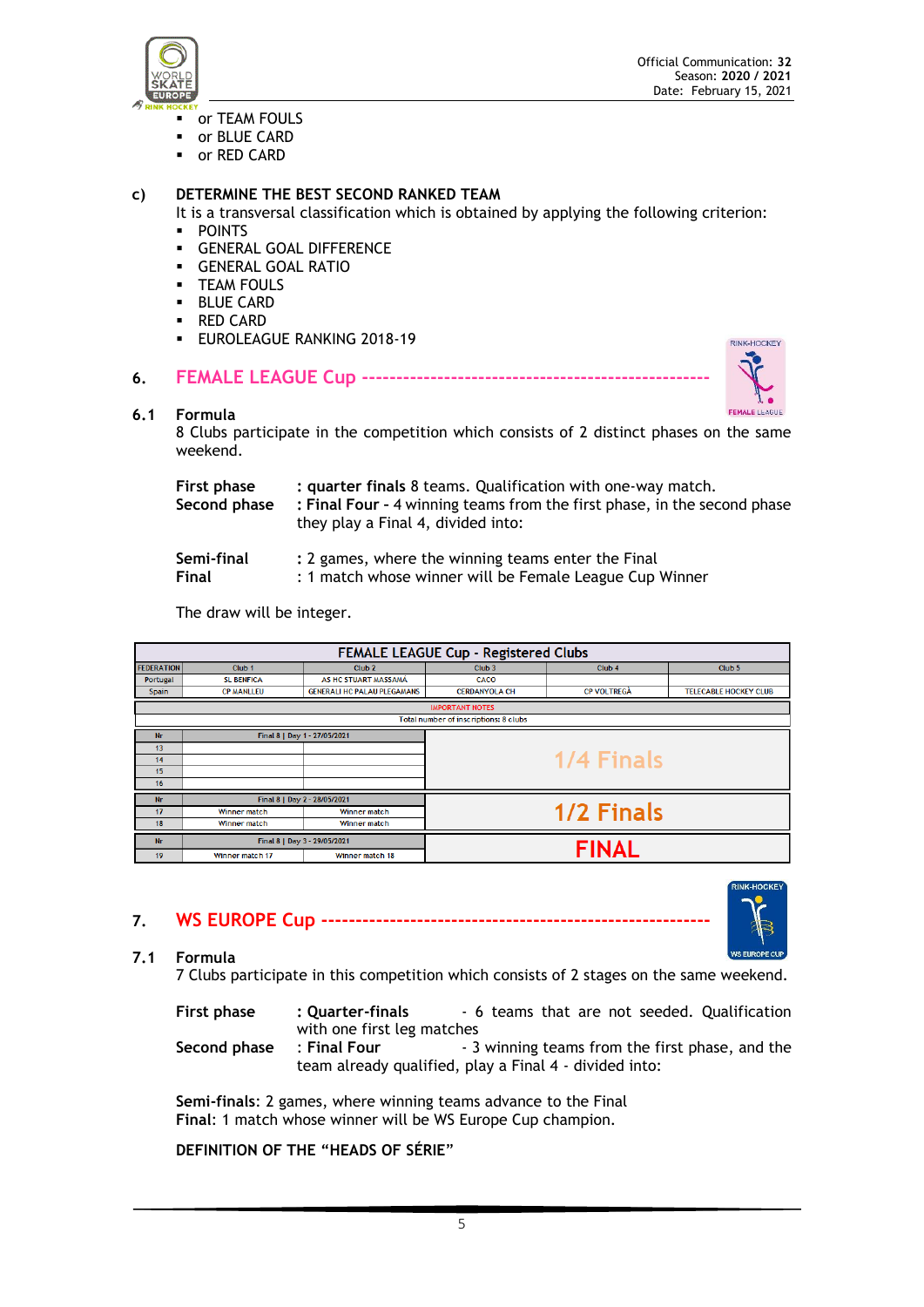

- or TEAM FOULS
- or BLUE CARD
- or RED CARD

#### **c) DETERMINE THE BEST SECOND RANKED TEAM**

- It is a transversal classification which is obtained by applying the following criterion: ▪ POINTS
- 
- **GENERAL GOAL DIFFERENCE • GENERAL GOAL RATIO**
- **TEAM FOULS**
- BLUE CARD
- RED CARD
- **EUROLEAGUE RANKING 2018-19**

# **6. FEMALE LEAGUE Cup ---------------------------------------------------**



#### **6.1 Formula**

8 Clubs participate in the competition which consists of 2 distinct phases on the same weekend.

| First phase<br>Second phase | : quarter finals 8 teams. Qualification with one-way match.<br>: Final Four - 4 winning teams from the first phase, in the second phase<br>they play a Final 4, divided into: |  |  |
|-----------------------------|-------------------------------------------------------------------------------------------------------------------------------------------------------------------------------|--|--|
| Semi-final                  | : 2 games, where the winning teams enter the Final                                                                                                                            |  |  |
| Final                       | : 1 match whose winner will be Female League Cup Winner                                                                                                                       |  |  |

The draw will be integer.

| FEMALE LEAGUE Cup - Registered Clubs      |                              |                                    |                      |                    |                              |
|-------------------------------------------|------------------------------|------------------------------------|----------------------|--------------------|------------------------------|
| <b>FEDERATION</b>                         | Club <sub>1</sub>            | Club <sub>2</sub>                  | Club <sub>3</sub>    | Club <sub>4</sub>  | Club <sub>5</sub>            |
| Portugal                                  | <b>SL BENFICA</b>            | AS HC STUART MASSAMÁ               | CACO                 |                    |                              |
| <b>Spain</b>                              | <b>CP MANLLEU</b>            | <b>GENERALI HC PALAU PLEGAMANS</b> | <b>CERDANYOLA CH</b> | <b>CP VOLTREGÀ</b> | <b>TELECABLE HOCKEY CLUB</b> |
| <b>IMPORTANT NOTES</b>                    |                              |                                    |                      |                    |                              |
| Total number of inscriptions: 8 clubs     |                              |                                    |                      |                    |                              |
| <b>Nr</b>                                 |                              | Final 8   Day 1 - 27/05/2021       |                      |                    |                              |
| 13                                        |                              |                                    |                      |                    |                              |
| 14                                        |                              |                                    |                      | 1/4 Finals         |                              |
| 15                                        |                              |                                    |                      |                    |                              |
| 16                                        |                              |                                    |                      |                    |                              |
| Final 8   Day 2 - 28/05/2021<br><b>Nr</b> |                              |                                    |                      |                    |                              |
| 17                                        | Winner match                 | Winner match                       |                      | 1/2 Finals         |                              |
| 18                                        | Winner match                 | Winner match                       |                      |                    |                              |
| <b>Nr</b>                                 | Final 8   Day 3 - 29/05/2021 |                                    |                      | <b>FINAL</b>       |                              |
| 19                                        | Winner match 17              | Winner match 18                    |                      |                    |                              |

**7. WS EUROPE Cup ---------------------------------------------------------**



# **7.1 Formula**

7 Clubs participate in this competition which consists of 2 stages on the same weekend.

**First phase : Quarter-finals** - 6 teams that are not seeded. Qualification with one first leg matches

**Second phase** : **Final Four** - 3 winning teams from the first phase, and the team already qualified, play a Final 4 - divided into:

**Semi-finals**: 2 games, where winning teams advance to the Final **Final**: 1 match whose winner will be WS Europe Cup champion.

**DEFINITION OF THE "HEADS OF SÉRIE**"